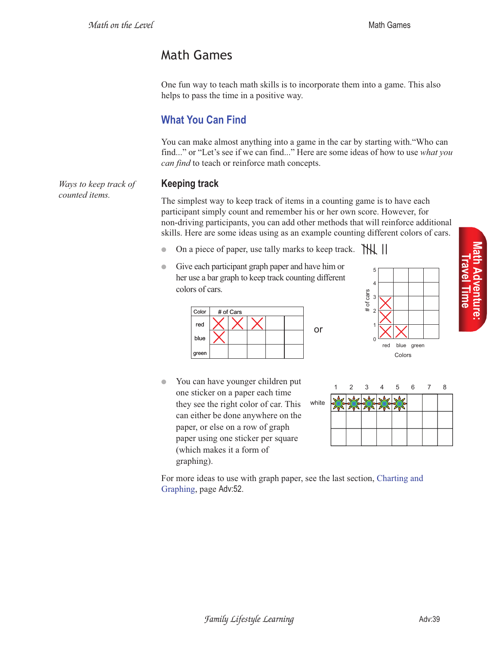*Ways to keep track of* 

*counted items.*

# Math Games

One fun way to teach math skills is to incorporate them into a game. This also helps to pass the time in a positive way.

# **What You Can Find**

You can make almost anything into a game in the car by starting with."Who can find..." or "Let's see if we can find..." Here are some ideas of how to use *what you can find* to teach or reinforce math concepts.

### **Keeping track**

The simplest way to keep track of items in a counting game is to have each participant simply count and remember his or her own score. However, for non-driving participants, you can add other methods that will reinforce additional skills. Here are some ideas using as an example counting different colors of cars.

or

- On a piece of paper, use tally marks to keep track.  $\mathbb{W}$ |
- Give each participant graph paper and have him or her use a bar graph to keep track counting different colors of cars.



● You can have younger children put one sticker on a paper each time they see the right color of car. This can either be done anywhere on the paper, or else on a row of graph paper using one sticker per square (which makes it a form of graphing).



5



For more ideas to use with graph paper, see the last section, Charting and Graphing, page Adv:52.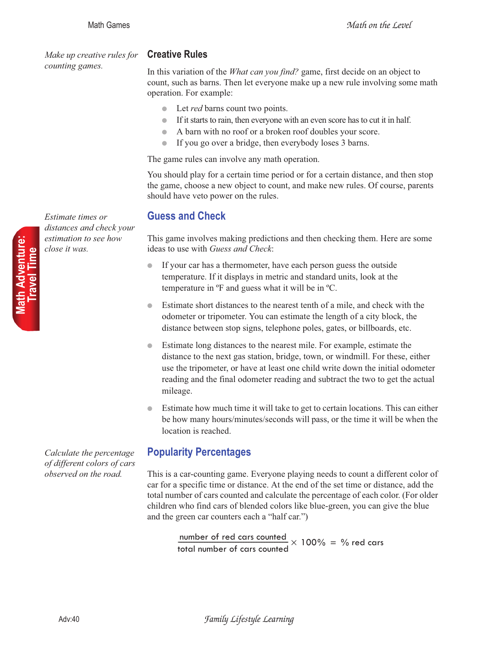*Make up creative rules for counting games.*

#### **Creative Rules**

In this variation of the *What can you find?* game, first decide on an object to count, such as barns. Then let everyone make up a new rule involving some math operation. For example:

- Let *red* barns count two points.
- If it starts to rain, then everyone with an even score has to cut it in half.
- A barn with no roof or a broken roof doubles your score.
- If you go over a bridge, then everybody loses 3 barns.

The game rules can involve any math operation.

You should play for a certain time period or for a certain distance, and then stop the game, choose a new object to count, and make new rules. Of course, parents should have veto power on the rules.

## **Guess and Check**

This game involves making predictions and then checking them. Here are some ideas to use with *Guess and Check*:

- If your car has a thermometer, have each person guess the outside temperature. If it displays in metric and standard units, look at the temperature in ºF and guess what it will be in ºC.
- Estimate short distances to the nearest tenth of a mile, and check with the odometer or tripometer. You can estimate the length of a city block, the distance between stop signs, telephone poles, gates, or billboards, etc.
- Estimate long distances to the nearest mile. For example, estimate the distance to the next gas station, bridge, town, or windmill. For these, either use the tripometer, or have at least one child write down the initial odometer reading and the final odometer reading and subtract the two to get the actual mileage.
- Estimate how much time it will take to get to certain locations. This can either be how many hours/minutes/seconds will pass, or the time it will be when the location is reached.

# **Popularity Percentages**

This is a car-counting game. Everyone playing needs to count a different color of car for a specific time or distance. At the end of the set time or distance, add the total number of cars counted and calculate the percentage of each color. (For older children who find cars of blended colors like blue-green, you can give the blue and the green car counters each a "half car.")

number of red cars counted  $\frac{\text{number of red cars counted}}{\text{total number of cars counted}} \times 100\% = \% \text{ red cars}$ 

*Estimate times or distances and check your estimation to see how close it was.*

*Calculate the percentage of different colors of cars observed on the road.*